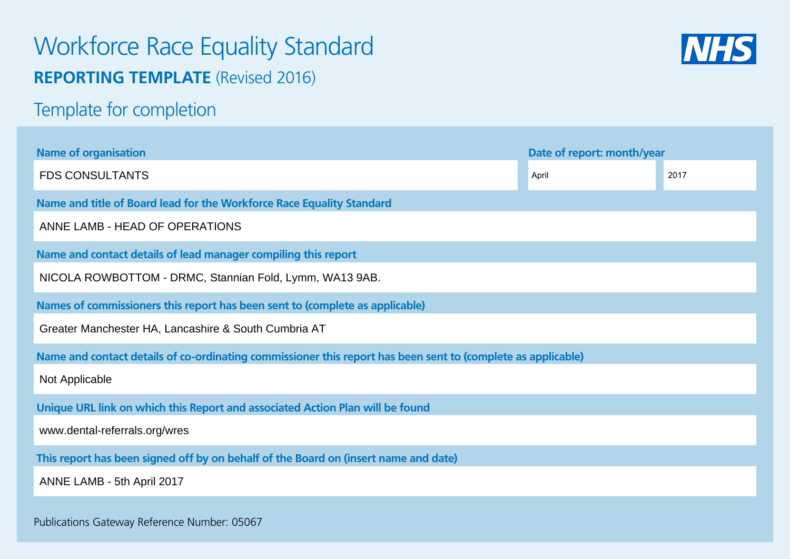# Workforce Race Equality Standard **REPORTING TEMPLATE** (Revised 2016)



Template for completion

| <b>Name of organisation</b>                                                                                  | Date of report: month/year |      |  |  |  |  |  |  |
|--------------------------------------------------------------------------------------------------------------|----------------------------|------|--|--|--|--|--|--|
| <b>FDS CONSULTANTS</b>                                                                                       | April                      | 2017 |  |  |  |  |  |  |
| Name and title of Board lead for the Workforce Race Equality Standard                                        |                            |      |  |  |  |  |  |  |
| ANNE LAMB - HEAD OF OPERATIONS                                                                               |                            |      |  |  |  |  |  |  |
| Name and contact details of lead manager compiling this report                                               |                            |      |  |  |  |  |  |  |
| NICOLA ROWBOTTOM - DRMC, Stannian Fold, Lymm, WA13 9AB.                                                      |                            |      |  |  |  |  |  |  |
| Names of commissioners this report has been sent to (complete as applicable)                                 |                            |      |  |  |  |  |  |  |
| Greater Manchester HA, Lancashire & South Cumbria AT                                                         |                            |      |  |  |  |  |  |  |
| Name and contact details of co-ordinating commissioner this report has been sent to (complete as applicable) |                            |      |  |  |  |  |  |  |
| Not Applicable                                                                                               |                            |      |  |  |  |  |  |  |
| Unique URL link on which this Report and associated Action Plan will be found                                |                            |      |  |  |  |  |  |  |
| www.dental-referrals.org/wres                                                                                |                            |      |  |  |  |  |  |  |
| This report has been signed off by on behalf of the Board on (insert name and date)                          |                            |      |  |  |  |  |  |  |
| ANNE LAMB - 5th April 2017                                                                                   |                            |      |  |  |  |  |  |  |
| Publications Gateway Reference Number: 05067                                                                 |                            |      |  |  |  |  |  |  |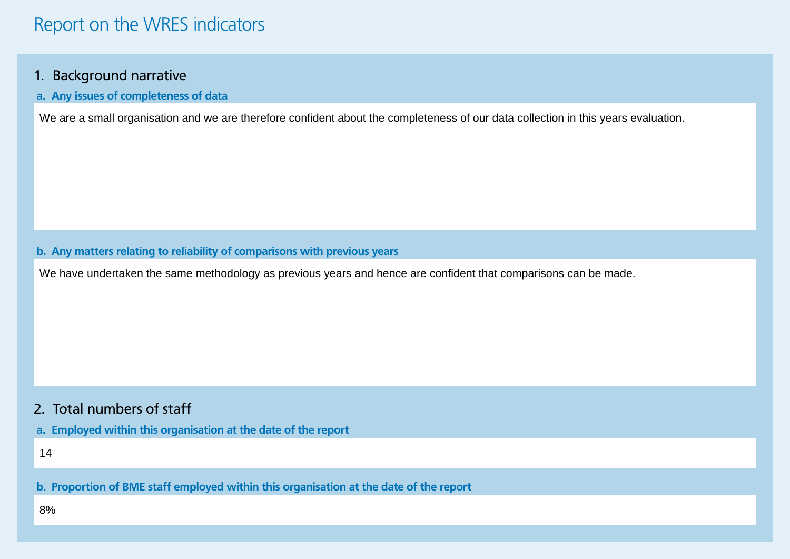#### 1. Background narrative

**a. Any issues of completeness of data**

#### **b. Any matters relating to reliability of comparisons with previous years**

We are a small organisation and we are therefore confident about the completeness of our data collection in this years evaluation.<br>.<br>. Any matters relating to reliability of comparisons with previous years<br>We have undertak

#### 2. Total numbers of staff

**a. Employed within this organisation at the date of the report**

**b. Proportion of BME staff employed within this organisation at the date of the report** 14<br><mark>p. F</mark><br>8%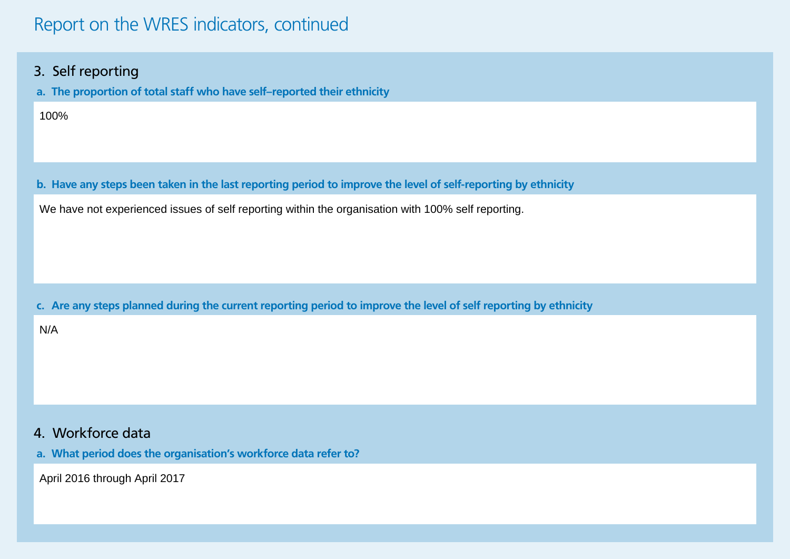### Report on the WRES indicators, continued

#### 3. Self reporting

**a. The proportion of total staff who have self–reported their ethnicity**

100%

**b. Have any steps been taken in the last reporting period to improve the level of self-reporting by ethnicity**

We have not experienced issues of self reporting within the organisation with 100% self reporting.

**c. Are any steps planned during the current reporting period to improve the level of self reporting by ethnicity**

N/A

#### 4. Workforce data

**a. What period does the organisation's workforce data refer to?**

April 2016 through April 2017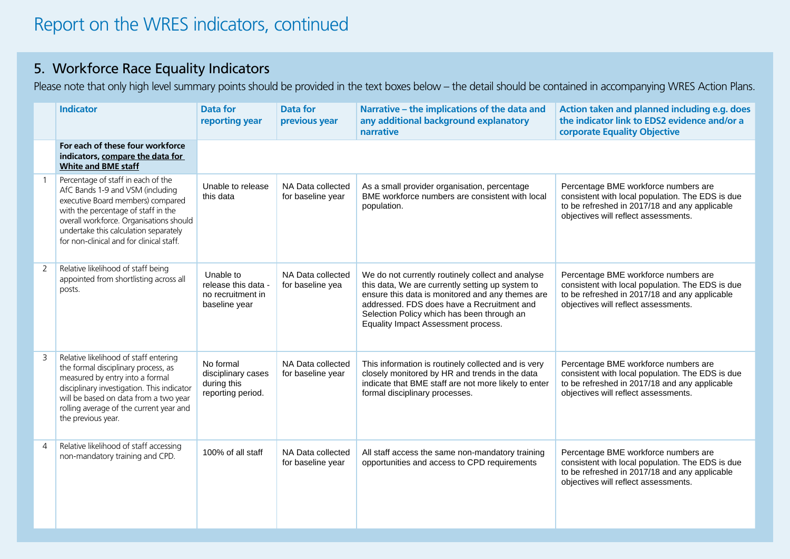### 5. Workforce Race Equality Indicators

Please note that only high level summary points should be provided in the text boxes below – the detail should be contained in accompanying WRES Action Plans.

|   | <b>Indicator</b>                                                                                                                                                                                                                                                                   | <b>Data for</b><br>reporting year                                      | <b>Data for</b><br>previous year       | Narrative - the implications of the data and<br>any additional background explanatory<br>narrative                                                                                                                                                                                           | Action taken and planned including e.g. does<br>the indicator link to EDS2 evidence and/or a<br>corporate Equality Objective                                                      |
|---|------------------------------------------------------------------------------------------------------------------------------------------------------------------------------------------------------------------------------------------------------------------------------------|------------------------------------------------------------------------|----------------------------------------|----------------------------------------------------------------------------------------------------------------------------------------------------------------------------------------------------------------------------------------------------------------------------------------------|-----------------------------------------------------------------------------------------------------------------------------------------------------------------------------------|
|   | For each of these four workforce<br>indicators, compare the data for<br><b>White and BME staff</b>                                                                                                                                                                                 |                                                                        |                                        |                                                                                                                                                                                                                                                                                              |                                                                                                                                                                                   |
|   | Percentage of staff in each of the<br>AfC Bands 1-9 and VSM (including<br>executive Board members) compared<br>with the percentage of staff in the<br>overall workforce. Organisations should<br>undertake this calculation separately<br>for non-clinical and for clinical staff. | Unable to release<br>this data                                         | NA Data collected<br>for baseline year | As a small provider organisation, percentage<br>BME workforce numbers are consistent with local<br>population.                                                                                                                                                                               | Percentage BME workforce numbers are<br>consistent with local population. The EDS is due<br>to be refreshed in 2017/18 and any applicable<br>objectives will reflect assessments. |
| 2 | Relative likelihood of staff being<br>appointed from shortlisting across all<br>posts.                                                                                                                                                                                             | Unable to<br>release this data -<br>no recruitment in<br>baseline year | NA Data collected<br>for baseline yea  | We do not currently routinely collect and analyse<br>this data, We are currently setting up system to<br>ensure this data is monitored and any themes are<br>addressed. FDS does have a Recruitment and<br>Selection Policy which has been through an<br>Equality Impact Assessment process. | Percentage BME workforce numbers are<br>consistent with local population. The EDS is due<br>to be refreshed in 2017/18 and any applicable<br>objectives will reflect assessments. |
|   | Relative likelihood of staff entering<br>the formal disciplinary process, as<br>measured by entry into a formal<br>disciplinary investigation. This indicator<br>will be based on data from a two year<br>rolling average of the current year and<br>the previous year.            | No formal<br>disciplinary cases<br>during this<br>reporting period.    | NA Data collected<br>for baseline year | This information is routinely collected and is very<br>closely monitored by HR and trends in the data<br>indicate that BME staff are not more likely to enter<br>formal disciplinary processes.                                                                                              | Percentage BME workforce numbers are<br>consistent with local population. The EDS is due<br>to be refreshed in 2017/18 and any applicable<br>objectives will reflect assessments. |
|   | Relative likelihood of staff accessing<br>non-mandatory training and CPD.                                                                                                                                                                                                          | 100% of all staff                                                      | NA Data collected<br>for baseline year | All staff access the same non-mandatory training<br>opportunities and access to CPD requirements                                                                                                                                                                                             | Percentage BME workforce numbers are<br>consistent with local population. The EDS is due<br>to be refreshed in 2017/18 and any applicable<br>objectives will reflect assessments. |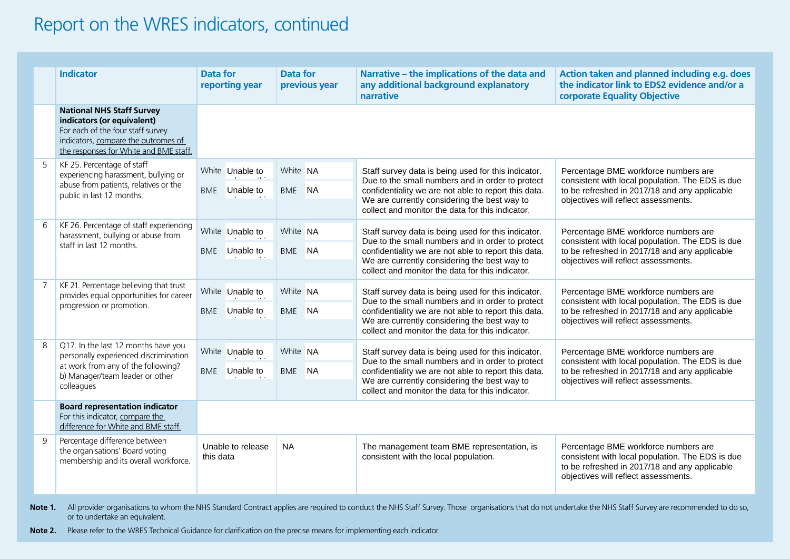## Report on the WRES indicators, continued

|                | <b>Indicator</b>                                                                                                                                                                     | Data for<br>reporting year     |                 | <b>Data for</b><br>previous year | Narrative - the implications of the data and<br>any additional background explanatory<br>narrative                                                                                                                                                                  | Action taken and planned including e.g. does<br>the indicator link to EDS2 evidence and/or a<br>corporate Equality Objective                                                      |
|----------------|--------------------------------------------------------------------------------------------------------------------------------------------------------------------------------------|--------------------------------|-----------------|----------------------------------|---------------------------------------------------------------------------------------------------------------------------------------------------------------------------------------------------------------------------------------------------------------------|-----------------------------------------------------------------------------------------------------------------------------------------------------------------------------------|
|                | <b>National NHS Staff Survey</b><br>indicators (or equivalent)<br>For each of the four staff survey<br>indicators, compare the outcomes of<br>the responses for White and BME staff. |                                |                 |                                  |                                                                                                                                                                                                                                                                     |                                                                                                                                                                                   |
| 5              | KF 25. Percentage of staff<br>experiencing harassment, bullying or<br>abuse from patients, relatives or the<br>public in last 12 months.                                             |                                | White Unable to | White NA                         | Staff survey data is being used for this indicator.                                                                                                                                                                                                                 | Percentage BME workforce numbers are<br>consistent with local population. The EDS is due<br>to be refreshed in 2017/18 and any applicable<br>objectives will reflect assessments. |
|                |                                                                                                                                                                                      |                                | BME Unable to   | BME NA                           | Due to the small numbers and in order to protect<br>confidentiality we are not able to report this data.<br>We are currently considering the best way to<br>collect and monitor the data for this indicator.                                                        |                                                                                                                                                                                   |
| 6              | KF 26. Percentage of staff experiencing<br>harassment, bullying or abuse from                                                                                                        |                                | White Unable to | White NA                         | Staff survey data is being used for this indicator.<br>Due to the small numbers and in order to protect<br>confidentiality we are not able to report this data.<br>We are currently considering the best way to<br>collect and monitor the data for this indicator. | Percentage BME workforce numbers are<br>consistent with local population. The EDS is due<br>to be refreshed in 2017/18 and any applicable<br>objectives will reflect assessments. |
|                | staff in last 12 months.                                                                                                                                                             | BME                            | Unable to       | BME NA                           |                                                                                                                                                                                                                                                                     |                                                                                                                                                                                   |
| $\overline{7}$ | KF 21. Percentage believing that trust<br>provides equal opportunities for career<br>progression or promotion.                                                                       |                                | White Unable to | White NA                         | Staff survey data is being used for this indicator.<br>Due to the small numbers and in order to protect<br>confidentiality we are not able to report this data.<br>We are currently considering the best way to<br>collect and monitor the data for this indicator. | Percentage BME workforce numbers are<br>consistent with local population. The EDS is due<br>to be refreshed in 2017/18 and any applicable<br>objectives will reflect assessments. |
|                |                                                                                                                                                                                      |                                | BME Unable to   | BME NA                           |                                                                                                                                                                                                                                                                     |                                                                                                                                                                                   |
| 8              | Q17. In the last 12 months have you<br>personally experienced discrimination<br>at work from any of the following?<br>b) Manager/team leader or other<br>colleagues                  |                                | White Unable to | White NA                         | Staff survey data is being used for this indicator.<br>Due to the small numbers and in order to protect<br>confidentiality we are not able to report this data.<br>We are currently considering the best way to<br>collect and monitor the data for this indicator. | Percentage BME workforce numbers are<br>consistent with local population. The EDS is due<br>to be refreshed in 2017/18 and any applicable<br>objectives will reflect assessments. |
|                |                                                                                                                                                                                      |                                | BME Unable to   | BME NA                           |                                                                                                                                                                                                                                                                     |                                                                                                                                                                                   |
|                | <b>Board representation indicator</b><br>For this indicator, compare the<br>difference for White and BME staff.                                                                      |                                |                 |                                  |                                                                                                                                                                                                                                                                     |                                                                                                                                                                                   |
| 9              | Percentage difference between<br>the organisations' Board voting<br>membership and its overall workforce.                                                                            | Unable to release<br>this data |                 | <b>NA</b>                        | The management team BME representation, is<br>consistent with the local population.                                                                                                                                                                                 | Percentage BME workforce numbers are<br>consistent with local population. The EDS is due<br>to be refreshed in 2017/18 and any applicable<br>objectives will reflect assessments. |

Note 1. All provider organisations to whom the NHS Standard Contract applies are required to conduct the NHS Staff Survey. Those organisations that do not undertake the NHS Staff Survey are recommended to do so, or to undertake an equivalent.

**Note 2.** Please refer to the WRES Technical Guidance for clarification on the precise means for implementing each indicator.